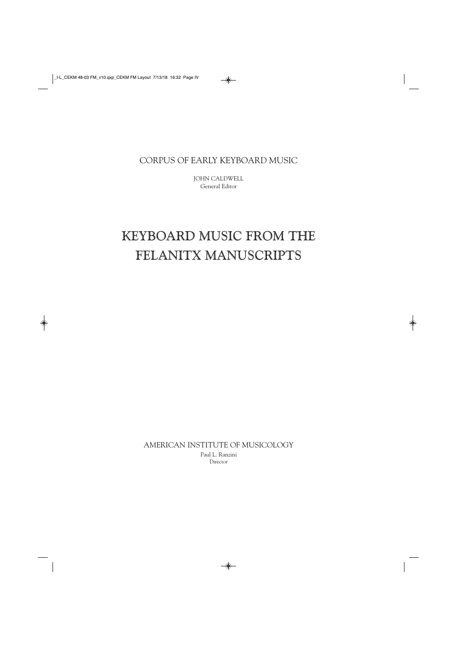CORPUS OF EARLY KEYBOARD MUSIC

JOHN CALDWELL General Editor

## KEYBOARD MUSIC FROM THE FELANITX MANUSCRIPTS

AMERICAN INSTITUTE OF MUSICOLOGY Paul L. Ranzini Director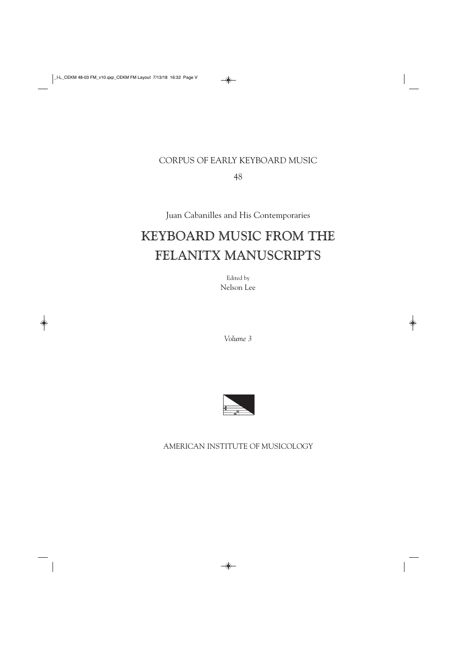### CORPUS OF EARLY KEYBOARD MUSIC

48

Juan Cabanilles and His Contemporaries

# KEYBOARD MUSIC FROM THE FELANITX MANUSCRIPTS

Edited by Nelson Lee

*Volume 3*



AMERICAN INSTITUTE OF MUSICOLOGY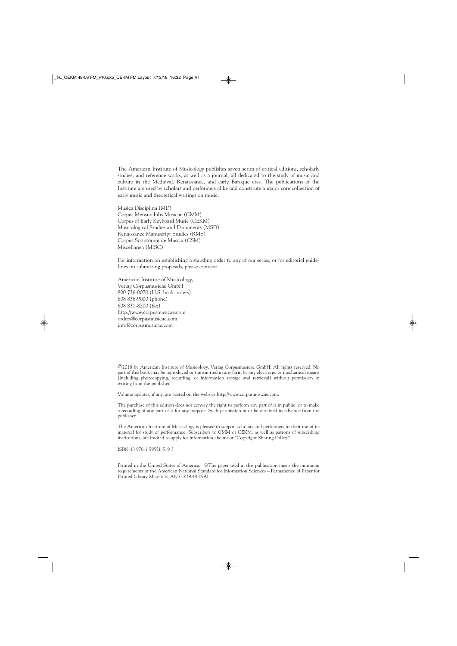The American Institute of Musicology publishes seven series of critical editions, scholarly studies, and reference works, as well as a journal, all dedicated to the study of music and culture in the Medieval, Renaissance, and early Baroque eras. The publications of the Institute are used by scholars and performers alike and constitute a major core collection of early music and theoretical writings on music.

Musica Disciplina (MD) Corpus Mensurabilis Musicae (CMM) Corpus of Early Keyboard Music (CEKM) Musicological Studies and Documents (MSD) Renaissance Manuscript Studies (RMS) Corpus Scriptorum de Musica (CSM) Miscellanea (MISC)

For information on establishing a standing order to any of our series, or for editorial guidelines on submitting proposals, please contact:

American Institute of Musicology, Verlag Corpusmusicae GmbH 800 736-0070 (U.S. book orders) 608 836-9000 (phone) 608 831-8200 (fax) http://www.corpusmusicae.com orders@corpusmusicae.com info@corpusmusicae.com

©2018 by American Institute of Musicology, Verlag Corpusmusicae GmbH. All rights reserved. No part of this book may be reproduced or transmitted in any form by any electronic or mechanical means (including photocopying, recording, or information storage and retrieval) without permission in writing from the publisher.

Volume updates, if any, are posted on the website http://www.corpusmusicae.com.

The purchase of this edition does not convey the right to perform any part of it in public, or to make a recording of any part of it for any purpose. Such permission must be obtained in advance from the publisher.

The American Institute of Musicology is pleased to support scholars and performers in their use of its material for study or performance. Subscribers to CMM or CEKM, as well as patrons of subscribing institutions, are invited to apply for information about our "Copyright Sharing Policy."

ISBN-13 978-1-59551-519-3

Printed in the United States of America. @The paper used in this publication meets the minimum requirements of the American National Standard for Information Sciences – Permanence of Paper for Printed Library Materials, ANSI Z39.48-1992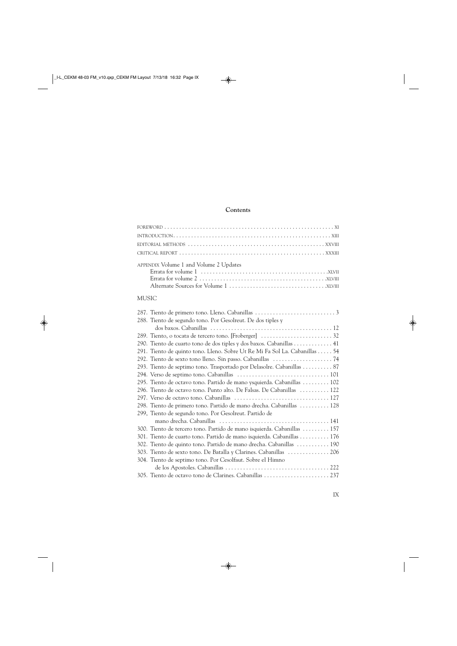#### **Contents**

| APPENDIX Volume 1 and Volume 2 Updates                                     |  |
|----------------------------------------------------------------------------|--|
| <b>MUSIC</b>                                                               |  |
| 288. Tiento de segundo tono. Por Gesolreut. De dos tiples y                |  |
|                                                                            |  |
|                                                                            |  |
| 290. Tiento de cuarto tono de dos tiples y dos baxos. Cabanillas 41        |  |
| 291. Tiento de quinto tono. Lleno. Sobre Ut Re Mi Fa Sol La. Cabanillas 54 |  |
| 292. Tiento de sexto tono lleno. Sin passo. Cabanillas  74                 |  |
| 293. Tiento de septimo tono. Trasportado por Delasolre. Cabanillas 87      |  |
|                                                                            |  |
| 295. Tiento de octavo tono. Partido de mano ysquierda. Cabanillas  102     |  |
| 296. Tiento de octavo tono. Punto alto. De Falsas. De Cabanillas  122      |  |
| $207 \t M \t 1 \t 1 \t 11$ 11                                              |  |

| 298. Tiento de primero tono. Partido de mano drecha. Cabanillas  128    |
|-------------------------------------------------------------------------|
| 299, Tiento de segundo tono. Por Gesolreut. Partido de                  |
|                                                                         |
| 300. Tiento de tercero tono. Partido de mano isquierda. Cabanillas  157 |
| 301. Tiento de cuarto tono. Partido de mano isquierda. Cabanillas  176  |
| 302. Tiento de quinto tono. Partido de mano drecha. Cabanillas  190     |
| 303. Tiento de sexto tono. De Batalla y Clarines. Cabanillas  206       |
| 304. Tiento de septimo tono. Por Cesolfaut. Sobre el Himno              |
|                                                                         |
| 305. Tiento de octavo tono de Clarines. Cabanillas  237                 |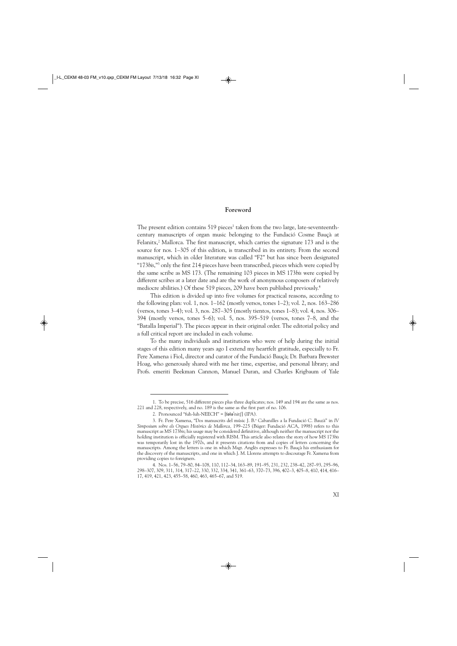#### **Foreword**

The present edition contains  $519$  pieces<sup>1</sup> taken from the two large, late-seventeenthcentury manuscripts of organ music belonging to the Fundació Cosme Bauçà at Felanitx, $2$  Mallorca. The first manuscript, which carries the signature 173 and is the source for nos. 1–305 of this edition, is transcribed in its entirety. From the second manuscript, which in older literature was called "F2" but has since been designated "173*bis*,"3 only the first 214 pieces have been transcribed, pieces which were copied by the same scribe as MS 173. (The remaining 103 pieces in MS 173*bis* were copied by different scribes at a later date and are the work of anonymous composers of relatively mediocre abilities.) Of these 519 pieces, 209 have been published previously.<sup>4</sup>

This edition is divided up into five volumes for practical reasons, according to the following plan: vol. 1, nos. 1–162 (mostly versos, tones 1–2); vol. 2, nos. 163–286 (versos, tones 3–4); vol. 3, nos. 287–305 (mostly tientos, tones 1–8); vol. 4, nos. 306– 394 (mostly versos, tones 5–6); vol. 5, nos. 395–519 (versos, tones 7–8, and the "Batalla Imperial"). The pieces appear in their original order. The editorial policy and a full critical report are included in each volume.

To the many individuals and institutions who were of help during the initial stages of this edition many years ago I extend my heartfelt gratitude, especially to Fr. Pere Xamena i Fiol, director and curator of the Fundació Bauçà; Dr. Barbara Brewster Hoag, who generously shared with me her time, expertise, and personal library; and Profs. emeriti Beekman Cannon, Manuel Duran, and Charles Krigbaum of Yale

<sup>1.</sup> To be precise, 516 different pieces plus three duplicates; nos. 149 and 194 are the same as nos. 221 and 228, respectively, and no. 189 is the same as the first part of no. 106.

<sup>2.</sup> Pronounced "fuh-luh-NEECH" =  $[$ f $\Theta$ ł $\Theta$ <sup>'</sup>nit $[$  $]$  (IPA).

<sup>3.</sup> Fr. Pere Xamena, "Dos manuscrits del músic J. B.a Cabanilles a la Fundació C. Bauzà" in *IV Simposium sobre els Orgues Històrics de Mallorca,* 199–225 (Búger: Fundació ACA, 1998) refers to this manuscript as MS 173*bis*; his usage may be considered definitive, although neither the manuscript nor the holding institution is officially registered with RISM. This article also relates the story of how MS 173*bis* was temporarily lost in the 1970s, and it presents citations from and copies of letters concerning the manuscripts. Among the letters is one in which Msgr. Anglès expresses to Fr. Bauçà his enthusiasm for the discovery of the manuscripts, and one in which J. M. Llorens attempts to discourage Fr. Xamena from providing copies to foreigners.

<sup>4.</sup> Nos. 1–56, 79–80, 84–108, 110, 112–34, 163–89, 191–95, 231, 232, 238–42, 287–93, 295–96, 298–307, 309, 311, 314, 317–22, 330, 332, 334, 341, 361–63, 370–73, 396, 402–3, 405–8, 410, 414, 416– 17, 419, 421, 423, 455–58, 460, 463, 465–67, and 519.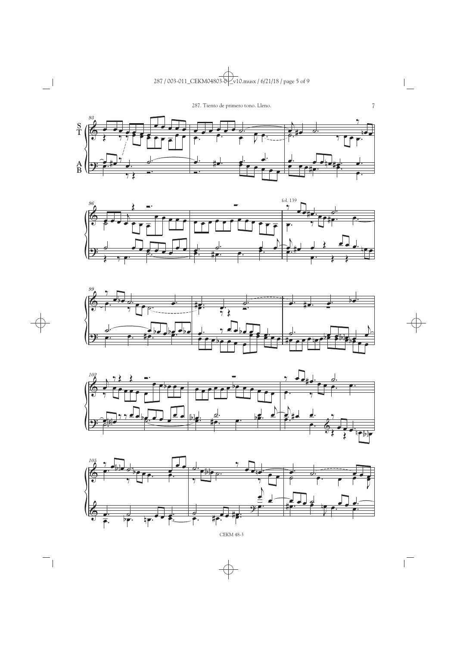